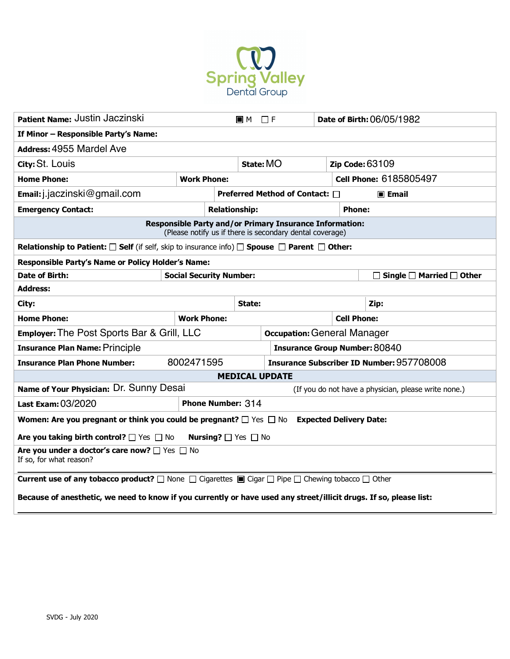

| Patient Name: Justin Jaczinski                                                                                                        |                    |                                                        | $\Box$ F<br><b>E</b> M                               |                    | Date of Birth: 06/05/1982 |                                           |  |
|---------------------------------------------------------------------------------------------------------------------------------------|--------------------|--------------------------------------------------------|------------------------------------------------------|--------------------|---------------------------|-------------------------------------------|--|
| If Minor - Responsible Party's Name:                                                                                                  |                    |                                                        |                                                      |                    |                           |                                           |  |
| Address: 4955 Mardel Ave                                                                                                              |                    |                                                        |                                                      |                    |                           |                                           |  |
| City: St. Louis                                                                                                                       |                    | State: MO                                              |                                                      |                    | <b>Zip Code: 63109</b>    |                                           |  |
| <b>Home Phone:</b>                                                                                                                    | <b>Work Phone:</b> |                                                        |                                                      |                    |                           | <b>Cell Phone: 6185805497</b>             |  |
| $Email:j.$ jaczinski@gmail.com                                                                                                        |                    | Preferred Method of Contact: □<br>$\blacksquare$ Email |                                                      |                    |                           |                                           |  |
| <b>Emergency Contact:</b>                                                                                                             |                    | <b>Relationship:</b>                                   |                                                      |                    |                           | <b>Phone:</b>                             |  |
| Responsible Party and/or Primary Insurance Information:<br>(Please notify us if there is secondary dental coverage)                   |                    |                                                        |                                                      |                    |                           |                                           |  |
| <b>Relationship to Patient:</b> $\Box$ Self (if self, skip to insurance info) $\Box$ Spouse $\Box$ Parent $\Box$ Other:               |                    |                                                        |                                                      |                    |                           |                                           |  |
| Responsible Party's Name or Policy Holder's Name:                                                                                     |                    |                                                        |                                                      |                    |                           |                                           |  |
| <b>Date of Birth:</b><br><b>Social Security Number:</b>                                                                               |                    |                                                        |                                                      |                    |                           | $\Box$ Single $\Box$ Married $\Box$ Other |  |
| <b>Address:</b>                                                                                                                       |                    |                                                        |                                                      |                    |                           |                                           |  |
| City:                                                                                                                                 |                    |                                                        | State:                                               |                    |                           | Zip:                                      |  |
| <b>Home Phone:</b>                                                                                                                    | <b>Work Phone:</b> |                                                        |                                                      | <b>Cell Phone:</b> |                           |                                           |  |
| <b>Employer:</b> The Post Sports Bar & Grill, LLC                                                                                     |                    |                                                        | <b>Occupation: General Manager</b>                   |                    |                           |                                           |  |
| <b>Insurance Plan Name: Principle</b>                                                                                                 |                    |                                                        | <b>Insurance Group Number: 80840</b>                 |                    |                           |                                           |  |
| <b>Insurance Plan Phone Number:</b>                                                                                                   | 8002471595         |                                                        | <b>Insurance Subscriber ID Number: 957708008</b>     |                    |                           |                                           |  |
| <b>MEDICAL UPDATE</b>                                                                                                                 |                    |                                                        |                                                      |                    |                           |                                           |  |
| Name of Your Physician: Dr. Sunny Desai                                                                                               |                    |                                                        | (If you do not have a physician, please write none.) |                    |                           |                                           |  |
| Last Exam: 03/2020<br><b>Phone Number: 314</b>                                                                                        |                    |                                                        |                                                      |                    |                           |                                           |  |
| <b>Women: Are you pregnant or think you could be pregnant?</b> $\Box$ Yes $\Box$ No<br><b>Expected Delivery Date:</b>                 |                    |                                                        |                                                      |                    |                           |                                           |  |
| Are you taking birth control? $\Box$ Yes $\Box$ No<br><b>Nursing?</b> $\Box$ Yes $\Box$ No                                            |                    |                                                        |                                                      |                    |                           |                                           |  |
| Are you under a doctor's care now? If Yes I No<br>If so, for what reason?                                                             |                    |                                                        |                                                      |                    |                           |                                           |  |
| <b>Current use of any tobacco product?</b> $\Box$ None $\Box$ Cigarettes $\Box$ Cigar $\Box$ Pipe $\Box$ Chewing tobacco $\Box$ Other |                    |                                                        |                                                      |                    |                           |                                           |  |
| Because of anesthetic, we need to know if you currently or have used any street/illicit drugs. If so, please list:                    |                    |                                                        |                                                      |                    |                           |                                           |  |